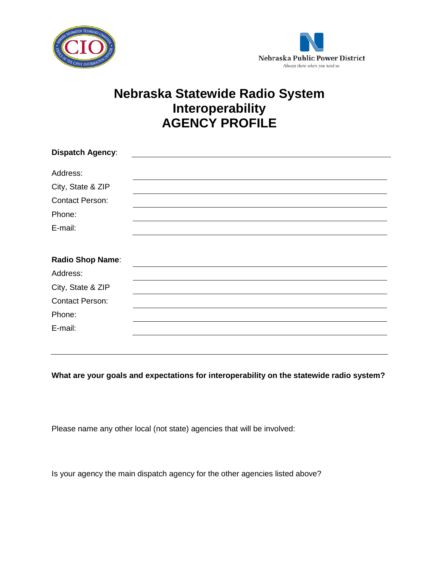



## **Nebraska Statewide Radio System Interoperability AGENCY PROFILE**

| <b>Dispatch Agency:</b> |  |
|-------------------------|--|
| Address:                |  |
|                         |  |
| City, State & ZIP       |  |
| <b>Contact Person:</b>  |  |
| Phone:                  |  |
| E-mail:                 |  |
|                         |  |
| <b>Radio Shop Name:</b> |  |
| Address:                |  |
| City, State & ZIP       |  |
| <b>Contact Person:</b>  |  |
| Phone:                  |  |
| E-mail:                 |  |
|                         |  |

**What are your goals and expectations for interoperability on the statewide radio system?**

Please name any other local (not state) agencies that will be involved:

Is your agency the main dispatch agency for the other agencies listed above?